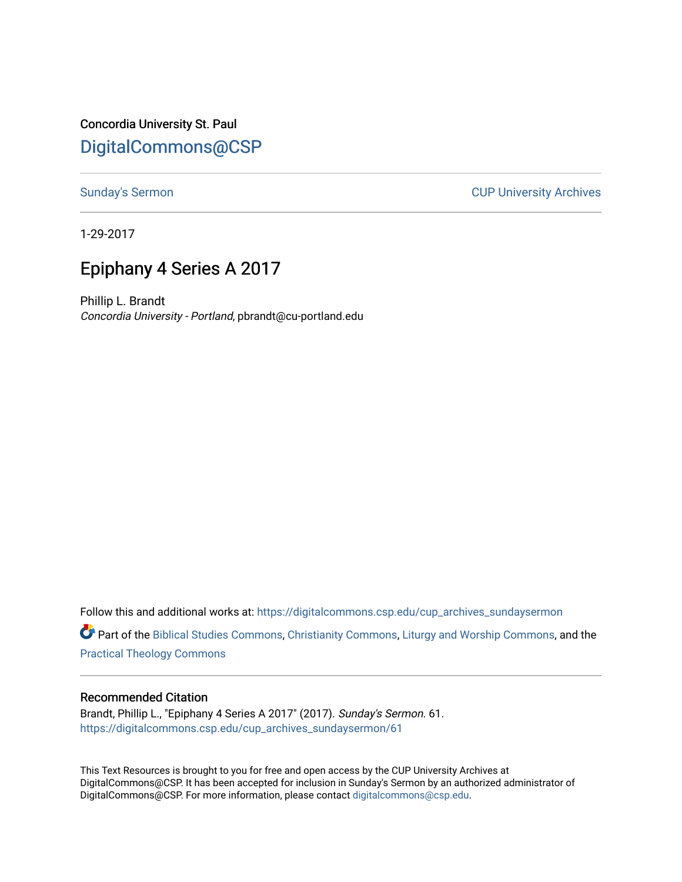Concordia University St. Paul [DigitalCommons@CSP](https://digitalcommons.csp.edu/)

[Sunday's Sermon](https://digitalcommons.csp.edu/cup_archives_sundaysermon) **CUP University Archives** 

1-29-2017

# Epiphany 4 Series A 2017

Phillip L. Brandt Concordia University - Portland, pbrandt@cu-portland.edu

Follow this and additional works at: [https://digitalcommons.csp.edu/cup\\_archives\\_sundaysermon](https://digitalcommons.csp.edu/cup_archives_sundaysermon?utm_source=digitalcommons.csp.edu%2Fcup_archives_sundaysermon%2F61&utm_medium=PDF&utm_campaign=PDFCoverPages)

Part of the [Biblical Studies Commons,](http://network.bepress.com/hgg/discipline/539?utm_source=digitalcommons.csp.edu%2Fcup_archives_sundaysermon%2F61&utm_medium=PDF&utm_campaign=PDFCoverPages) [Christianity Commons,](http://network.bepress.com/hgg/discipline/1181?utm_source=digitalcommons.csp.edu%2Fcup_archives_sundaysermon%2F61&utm_medium=PDF&utm_campaign=PDFCoverPages) [Liturgy and Worship Commons](http://network.bepress.com/hgg/discipline/1188?utm_source=digitalcommons.csp.edu%2Fcup_archives_sundaysermon%2F61&utm_medium=PDF&utm_campaign=PDFCoverPages), and the [Practical Theology Commons](http://network.bepress.com/hgg/discipline/1186?utm_source=digitalcommons.csp.edu%2Fcup_archives_sundaysermon%2F61&utm_medium=PDF&utm_campaign=PDFCoverPages) 

## Recommended Citation

Brandt, Phillip L., "Epiphany 4 Series A 2017" (2017). Sunday's Sermon. 61. [https://digitalcommons.csp.edu/cup\\_archives\\_sundaysermon/61](https://digitalcommons.csp.edu/cup_archives_sundaysermon/61?utm_source=digitalcommons.csp.edu%2Fcup_archives_sundaysermon%2F61&utm_medium=PDF&utm_campaign=PDFCoverPages) 

This Text Resources is brought to you for free and open access by the CUP University Archives at DigitalCommons@CSP. It has been accepted for inclusion in Sunday's Sermon by an authorized administrator of DigitalCommons@CSP. For more information, please contact [digitalcommons@csp.edu](mailto:digitalcommons@csp.edu).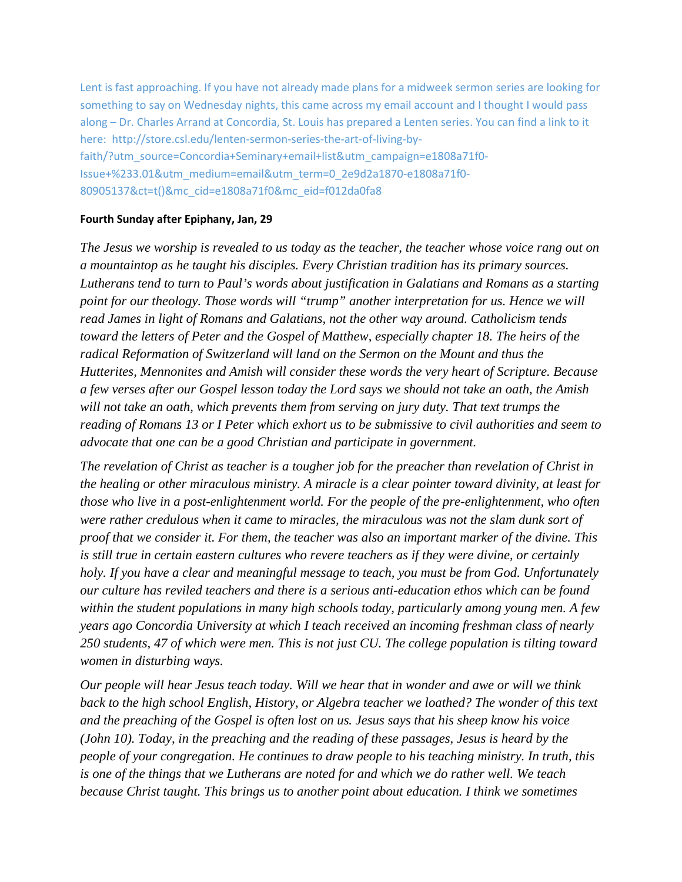Lent is fast approaching. If you have not already made plans for a midweek sermon series are looking for something to say on Wednesday nights, this came across my email account and I thought I would pass along – Dr. Charles Arrand at Concordia, St. Louis has prepared a Lenten series. You can find a link to it here: http://store.csl.edu/lenten-sermon-series-the-art-of-living-byfaith/?utm\_source=Concordia+Seminary+email+list&utm\_campaign=e1808a71f0- Issue+%233.01&utm\_medium=email&utm\_term=0\_2e9d2a1870-e1808a71f0- 80905137&ct=t()&mc\_cid=e1808a71f0&mc\_eid=f012da0fa8

## **Fourth Sunday after Epiphany, Jan, 29**

*The Jesus we worship is revealed to us today as the teacher, the teacher whose voice rang out on a mountaintop as he taught his disciples. Every Christian tradition has its primary sources. Lutherans tend to turn to Paul's words about justification in Galatians and Romans as a starting point for our theology. Those words will "trump" another interpretation for us. Hence we will read James in light of Romans and Galatians, not the other way around. Catholicism tends toward the letters of Peter and the Gospel of Matthew, especially chapter 18. The heirs of the radical Reformation of Switzerland will land on the Sermon on the Mount and thus the Hutterites, Mennonites and Amish will consider these words the very heart of Scripture. Because a few verses after our Gospel lesson today the Lord says we should not take an oath, the Amish will not take an oath, which prevents them from serving on jury duty. That text trumps the reading of Romans 13 or I Peter which exhort us to be submissive to civil authorities and seem to advocate that one can be a good Christian and participate in government.* 

*The revelation of Christ as teacher is a tougher job for the preacher than revelation of Christ in the healing or other miraculous ministry. A miracle is a clear pointer toward divinity, at least for those who live in a post-enlightenment world. For the people of the pre-enlightenment, who often were rather credulous when it came to miracles, the miraculous was not the slam dunk sort of proof that we consider it. For them, the teacher was also an important marker of the divine. This is still true in certain eastern cultures who revere teachers as if they were divine, or certainly holy. If you have a clear and meaningful message to teach, you must be from God. Unfortunately our culture has reviled teachers and there is a serious anti-education ethos which can be found within the student populations in many high schools today, particularly among young men. A few years ago Concordia University at which I teach received an incoming freshman class of nearly 250 students, 47 of which were men. This is not just CU. The college population is tilting toward women in disturbing ways.* 

*Our people will hear Jesus teach today. Will we hear that in wonder and awe or will we think back to the high school English, History, or Algebra teacher we loathed? The wonder of this text and the preaching of the Gospel is often lost on us. Jesus says that his sheep know his voice (John 10). Today, in the preaching and the reading of these passages, Jesus is heard by the people of your congregation. He continues to draw people to his teaching ministry. In truth, this is one of the things that we Lutherans are noted for and which we do rather well. We teach because Christ taught. This brings us to another point about education. I think we sometimes*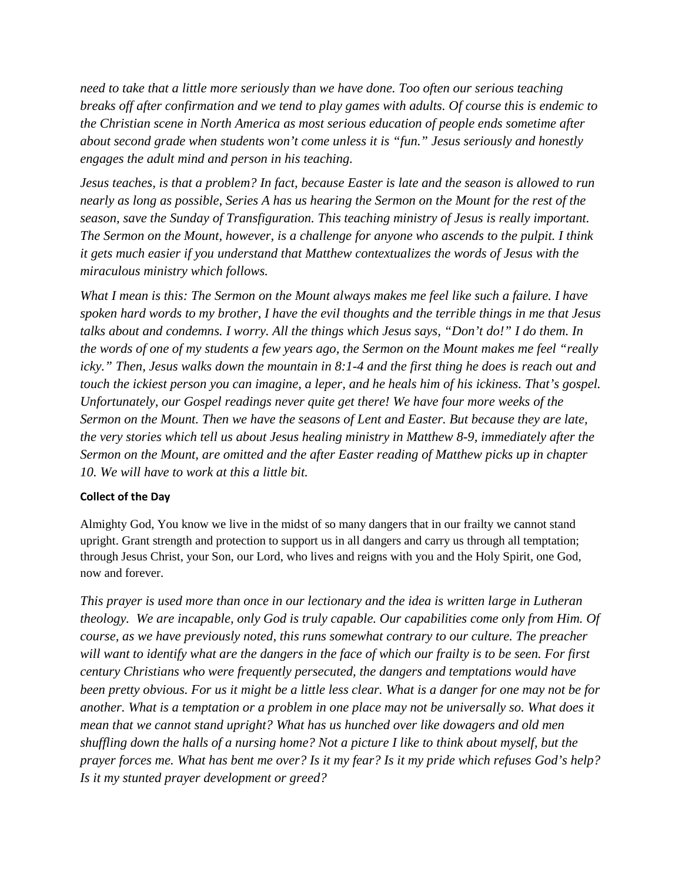*need to take that a little more seriously than we have done. Too often our serious teaching breaks off after confirmation and we tend to play games with adults. Of course this is endemic to the Christian scene in North America as most serious education of people ends sometime after about second grade when students won't come unless it is "fun." Jesus seriously and honestly engages the adult mind and person in his teaching.*

*Jesus teaches, is that a problem? In fact, because Easter is late and the season is allowed to run nearly as long as possible, Series A has us hearing the Sermon on the Mount for the rest of the season, save the Sunday of Transfiguration. This teaching ministry of Jesus is really important. The Sermon on the Mount, however, is a challenge for anyone who ascends to the pulpit. I think it gets much easier if you understand that Matthew contextualizes the words of Jesus with the miraculous ministry which follows.* 

*What I mean is this: The Sermon on the Mount always makes me feel like such a failure. I have spoken hard words to my brother, I have the evil thoughts and the terrible things in me that Jesus talks about and condemns. I worry. All the things which Jesus says, "Don't do!" I do them. In the words of one of my students a few years ago, the Sermon on the Mount makes me feel "really icky." Then, Jesus walks down the mountain in 8:1-4 and the first thing he does is reach out and touch the ickiest person you can imagine, a leper, and he heals him of his ickiness. That's gospel. Unfortunately, our Gospel readings never quite get there! We have four more weeks of the Sermon on the Mount. Then we have the seasons of Lent and Easter. But because they are late, the very stories which tell us about Jesus healing ministry in Matthew 8-9, immediately after the Sermon on the Mount, are omitted and the after Easter reading of Matthew picks up in chapter 10. We will have to work at this a little bit.* 

## **Collect of the Day**

Almighty God, You know we live in the midst of so many dangers that in our frailty we cannot stand upright. Grant strength and protection to support us in all dangers and carry us through all temptation; through Jesus Christ, your Son, our Lord, who lives and reigns with you and the Holy Spirit, one God, now and forever.

*This prayer is used more than once in our lectionary and the idea is written large in Lutheran theology. We are incapable, only God is truly capable. Our capabilities come only from Him. Of course, as we have previously noted, this runs somewhat contrary to our culture. The preacher will want to identify what are the dangers in the face of which our frailty is to be seen. For first century Christians who were frequently persecuted, the dangers and temptations would have been pretty obvious. For us it might be a little less clear. What is a danger for one may not be for another. What is a temptation or a problem in one place may not be universally so. What does it mean that we cannot stand upright? What has us hunched over like dowagers and old men shuffling down the halls of a nursing home? Not a picture I like to think about myself, but the prayer forces me. What has bent me over? Is it my fear? Is it my pride which refuses God's help? Is it my stunted prayer development or greed?*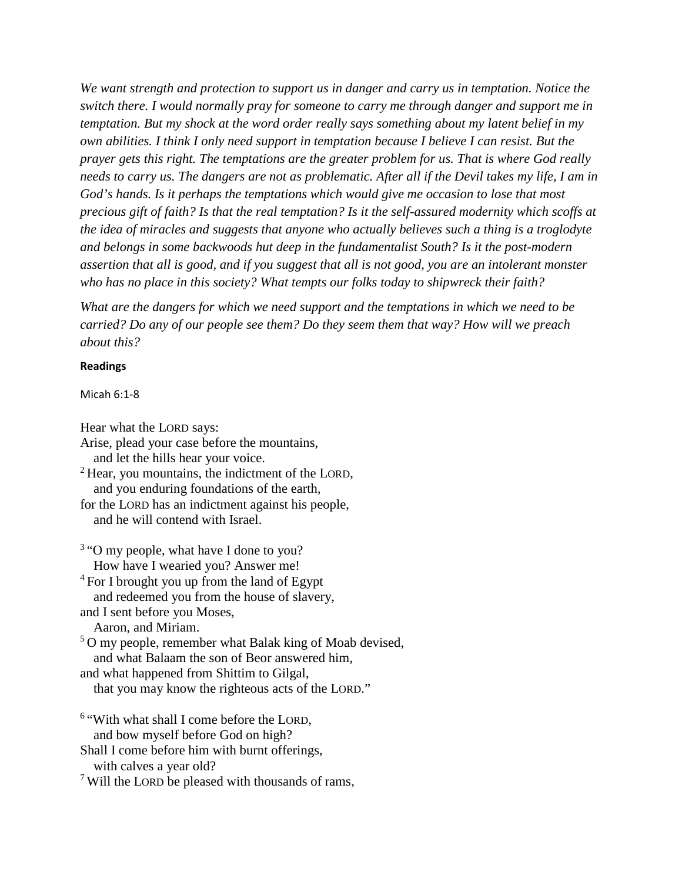*We want strength and protection to support us in danger and carry us in temptation. Notice the switch there. I would normally pray for someone to carry me through danger and support me in temptation. But my shock at the word order really says something about my latent belief in my own abilities. I think I only need support in temptation because I believe I can resist. But the prayer gets this right. The temptations are the greater problem for us. That is where God really needs to carry us. The dangers are not as problematic. After all if the Devil takes my life, I am in God's hands. Is it perhaps the temptations which would give me occasion to lose that most precious gift of faith? Is that the real temptation? Is it the self-assured modernity which scoffs at the idea of miracles and suggests that anyone who actually believes such a thing is a troglodyte and belongs in some backwoods hut deep in the fundamentalist South? Is it the post-modern assertion that all is good, and if you suggest that all is not good, you are an intolerant monster who has no place in this society? What tempts our folks today to shipwreck their faith?* 

*What are the dangers for which we need support and the temptations in which we need to be carried? Do any of our people see them? Do they seem them that way? How will we preach about this?* 

#### **Readings**

Micah 6:1-8

Hear what the LORD says:

Arise, plead your case before the mountains, and let the hills hear your voice. <sup>2</sup> Hear, you mountains, the indictment of the LORD, and you enduring foundations of the earth, for the LORD has an indictment against his people, and he will contend with Israel. <sup>3</sup> "O my people, what have I done to you? How have I wearied you? Answer me!  $4$  For I brought you up from the land of Egypt and redeemed you from the house of slavery, and I sent before you Moses, Aaron, and Miriam. <sup>5</sup>O my people, remember what Balak king of Moab devised, and what Balaam the son of Beor answered him, and what happened from Shittim to Gilgal,

that you may know the righteous acts of the LORD."

<sup>6</sup> "With what shall I come before the LORD, and bow myself before God on high? Shall I come before him with burnt offerings, with calves a year old?

 $7$  Will the LORD be pleased with thousands of rams,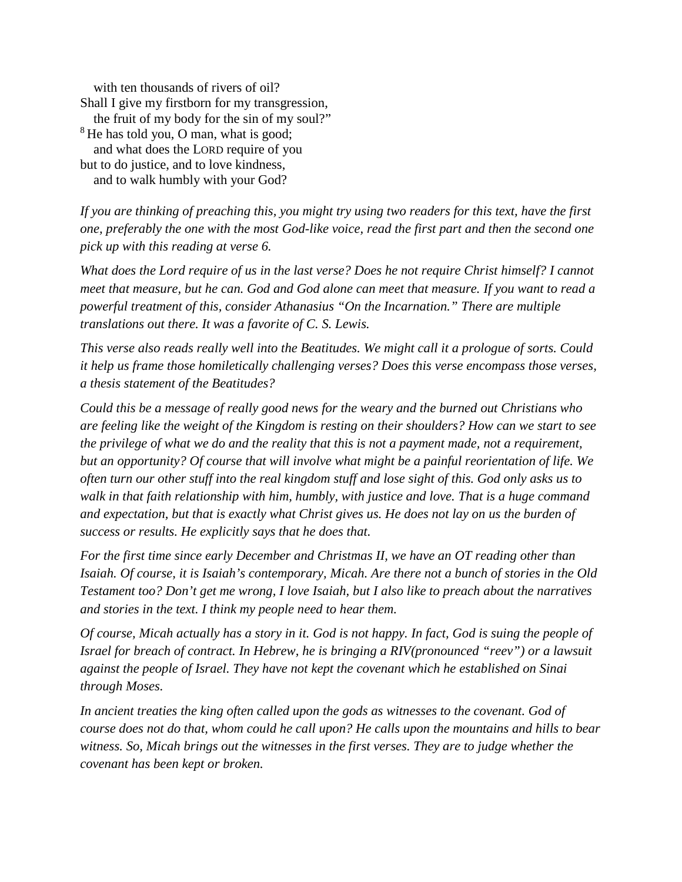with ten thousands of rivers of oil? Shall I give my firstborn for my transgression, the fruit of my body for the sin of my soul?" <sup>8</sup> He has told you, O man, what is good; and what does the LORD require of you but to do justice, and to love kindness, and to walk humbly with your God?

*If you are thinking of preaching this, you might try using two readers for this text, have the first one, preferably the one with the most God-like voice, read the first part and then the second one pick up with this reading at verse 6.* 

*What does the Lord require of us in the last verse? Does he not require Christ himself? I cannot meet that measure, but he can. God and God alone can meet that measure. If you want to read a powerful treatment of this, consider Athanasius "On the Incarnation." There are multiple translations out there. It was a favorite of C. S. Lewis.* 

*This verse also reads really well into the Beatitudes. We might call it a prologue of sorts. Could it help us frame those homiletically challenging verses? Does this verse encompass those verses, a thesis statement of the Beatitudes?*

*Could this be a message of really good news for the weary and the burned out Christians who are feeling like the weight of the Kingdom is resting on their shoulders? How can we start to see the privilege of what we do and the reality that this is not a payment made, not a requirement, but an opportunity? Of course that will involve what might be a painful reorientation of life. We often turn our other stuff into the real kingdom stuff and lose sight of this. God only asks us to walk in that faith relationship with him, humbly, with justice and love. That is a huge command and expectation, but that is exactly what Christ gives us. He does not lay on us the burden of success or results. He explicitly says that he does that.* 

*For the first time since early December and Christmas II, we have an OT reading other than Isaiah. Of course, it is Isaiah's contemporary, Micah. Are there not a bunch of stories in the Old Testament too? Don't get me wrong, I love Isaiah, but I also like to preach about the narratives and stories in the text. I think my people need to hear them.* 

*Of course, Micah actually has a story in it. God is not happy. In fact, God is suing the people of Israel for breach of contract. In Hebrew, he is bringing a RIV(pronounced "reev") or a lawsuit against the people of Israel. They have not kept the covenant which he established on Sinai through Moses.* 

In ancient treaties the king often called upon the gods as witnesses to the covenant. God of *course does not do that, whom could he call upon? He calls upon the mountains and hills to bear witness. So, Micah brings out the witnesses in the first verses. They are to judge whether the covenant has been kept or broken.*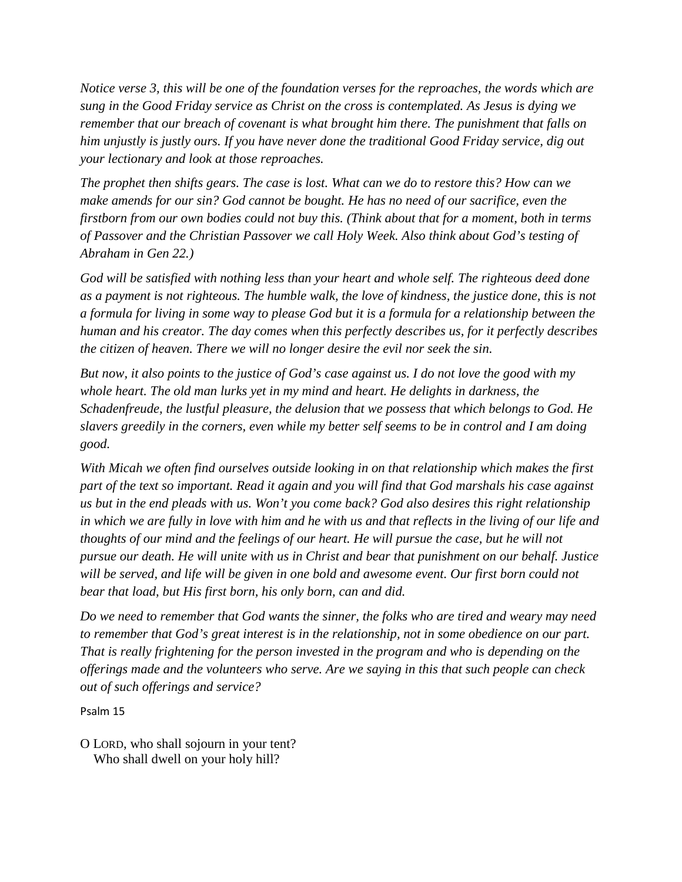*Notice verse 3, this will be one of the foundation verses for the reproaches, the words which are sung in the Good Friday service as Christ on the cross is contemplated. As Jesus is dying we remember that our breach of covenant is what brought him there. The punishment that falls on him unjustly is justly ours. If you have never done the traditional Good Friday service, dig out your lectionary and look at those reproaches.* 

*The prophet then shifts gears. The case is lost. What can we do to restore this? How can we make amends for our sin? God cannot be bought. He has no need of our sacrifice, even the firstborn from our own bodies could not buy this. (Think about that for a moment, both in terms of Passover and the Christian Passover we call Holy Week. Also think about God's testing of Abraham in Gen 22.)* 

*God will be satisfied with nothing less than your heart and whole self. The righteous deed done as a payment is not righteous. The humble walk, the love of kindness, the justice done, this is not a formula for living in some way to please God but it is a formula for a relationship between the human and his creator. The day comes when this perfectly describes us, for it perfectly describes the citizen of heaven. There we will no longer desire the evil nor seek the sin.* 

*But now, it also points to the justice of God's case against us. I do not love the good with my whole heart. The old man lurks yet in my mind and heart. He delights in darkness, the Schadenfreude, the lustful pleasure, the delusion that we possess that which belongs to God. He slavers greedily in the corners, even while my better self seems to be in control and I am doing good.* 

*With Micah we often find ourselves outside looking in on that relationship which makes the first part of the text so important. Read it again and you will find that God marshals his case against us but in the end pleads with us. Won't you come back? God also desires this right relationship in which we are fully in love with him and he with us and that reflects in the living of our life and thoughts of our mind and the feelings of our heart. He will pursue the case, but he will not pursue our death. He will unite with us in Christ and bear that punishment on our behalf. Justice will be served, and life will be given in one bold and awesome event. Our first born could not bear that load, but His first born, his only born, can and did.* 

*Do we need to remember that God wants the sinner, the folks who are tired and weary may need to remember that God's great interest is in the relationship, not in some obedience on our part. That is really frightening for the person invested in the program and who is depending on the offerings made and the volunteers who serve. Are we saying in this that such people can check out of such offerings and service?* 

Psalm 15

O LORD, who shall sojourn in your tent? Who shall dwell on your holy hill?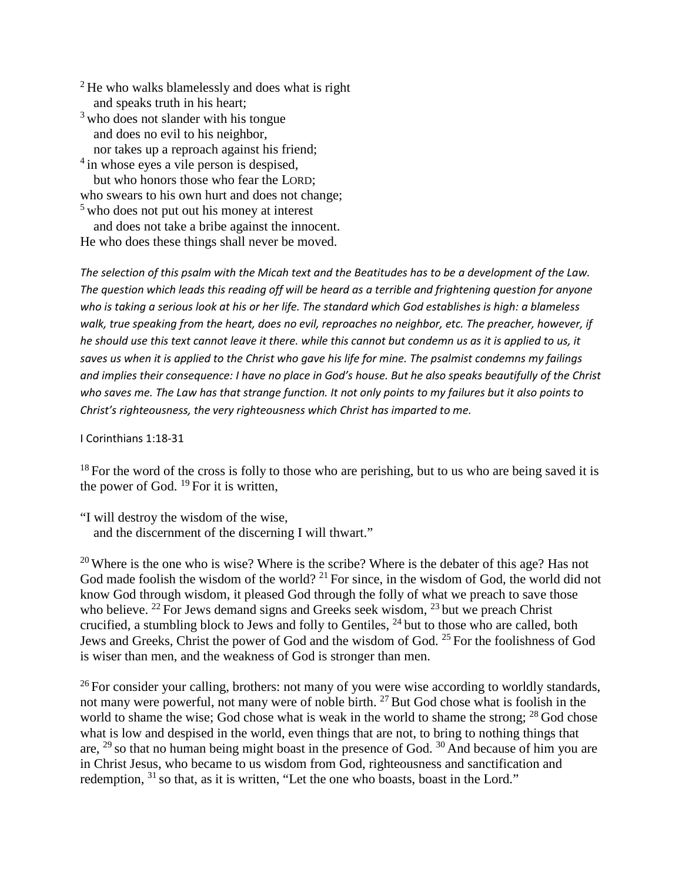$2$  He who walks blamelessly and does what is right and speaks truth in his heart;

 $3$  who does not slander with his tongue and does no evil to his neighbor, nor takes up a reproach against his friend;

<sup>4</sup> in whose eyes a vile person is despised, but who honors those who fear the LORD; who swears to his own hurt and does not change; <sup>5</sup> who does not put out his money at interest

 and does not take a bribe against the innocent. He who does these things shall never be moved.

*The selection of this psalm with the Micah text and the Beatitudes has to be a development of the Law. The question which leads this reading off will be heard as a terrible and frightening question for anyone who is taking a serious look at his or her life. The standard which God establishes is high: a blameless walk, true speaking from the heart, does no evil, reproaches no neighbor, etc. The preacher, however, if*  he should use this text cannot leave it there. while this cannot but condemn us as it is applied to us, it *saves us when it is applied to the Christ who gave his life for mine. The psalmist condemns my failings and implies their consequence: I have no place in God's house. But he also speaks beautifully of the Christ who saves me. The Law has that strange function. It not only points to my failures but it also points to Christ's righteousness, the very righteousness which Christ has imparted to me.* 

I Corinthians 1:18-31

 $18$  For the word of the cross is folly to those who are perishing, but to us who are being saved it is the power of God.  $^{19}$  For it is written,

"I will destroy the wisdom of the wise, and the discernment of the discerning I will thwart."

<sup>20</sup> Where is the one who is wise? Where is the scribe? Where is the debater of this age? Has not God made foolish the wisdom of the world? <sup>21</sup> For since, in the wisdom of God, the world did not know God through wisdom, it pleased God through the folly of what we preach to save those who believe. <sup>22</sup> For Jews demand signs and Greeks seek wisdom,  $^{23}$  but we preach Christ crucified, a stumbling block to Jews and folly to Gentiles, <sup>24</sup> but to those who are called, both Jews and Greeks, Christ the power of God and the wisdom of God. <sup>25</sup> For the foolishness of God is wiser than men, and the weakness of God is stronger than men.

 $26$  For consider your calling, brothers: not many of you were wise according to worldly standards, not many were powerful, not many were of noble birth.  $27$  But God chose what is foolish in the world to shame the wise; God chose what is weak in the world to shame the strong;  $^{28}$  God chose what is low and despised in the world, even things that are not, to bring to nothing things that are,  $^{29}$  so that no human being might boast in the presence of God.  $^{30}$  And because of him you are in Christ Jesus, who became to us wisdom from God, righteousness and sanctification and redemption, <sup>31</sup> so that, as it is written, "Let the one who boasts, boast in the Lord."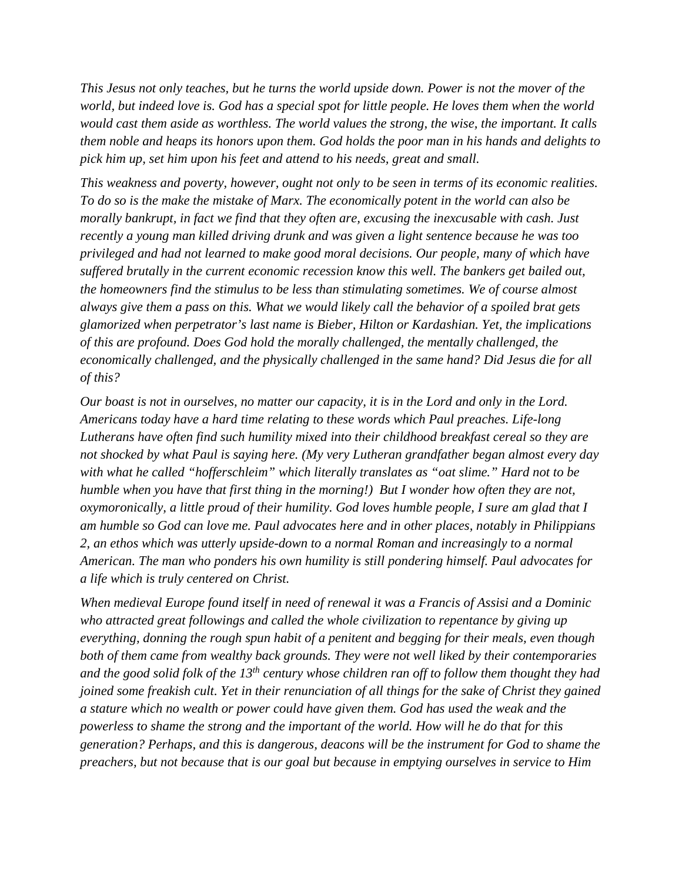*This Jesus not only teaches, but he turns the world upside down. Power is not the mover of the world, but indeed love is. God has a special spot for little people. He loves them when the world would cast them aside as worthless. The world values the strong, the wise, the important. It calls them noble and heaps its honors upon them. God holds the poor man in his hands and delights to pick him up, set him upon his feet and attend to his needs, great and small.* 

*This weakness and poverty, however, ought not only to be seen in terms of its economic realities. To do so is the make the mistake of Marx. The economically potent in the world can also be morally bankrupt, in fact we find that they often are, excusing the inexcusable with cash. Just recently a young man killed driving drunk and was given a light sentence because he was too privileged and had not learned to make good moral decisions. Our people, many of which have suffered brutally in the current economic recession know this well. The bankers get bailed out, the homeowners find the stimulus to be less than stimulating sometimes. We of course almost always give them a pass on this. What we would likely call the behavior of a spoiled brat gets glamorized when perpetrator's last name is Bieber, Hilton or Kardashian. Yet, the implications of this are profound. Does God hold the morally challenged, the mentally challenged, the economically challenged, and the physically challenged in the same hand? Did Jesus die for all of this?* 

*Our boast is not in ourselves, no matter our capacity, it is in the Lord and only in the Lord. Americans today have a hard time relating to these words which Paul preaches. Life-long Lutherans have often find such humility mixed into their childhood breakfast cereal so they are not shocked by what Paul is saying here. (My very Lutheran grandfather began almost every day with what he called "hofferschleim" which literally translates as "oat slime." Hard not to be humble when you have that first thing in the morning!) But I wonder how often they are not, oxymoronically, a little proud of their humility. God loves humble people, I sure am glad that I am humble so God can love me. Paul advocates here and in other places, notably in Philippians 2, an ethos which was utterly upside-down to a normal Roman and increasingly to a normal American. The man who ponders his own humility is still pondering himself. Paul advocates for a life which is truly centered on Christ.* 

*When medieval Europe found itself in need of renewal it was a Francis of Assisi and a Dominic who attracted great followings and called the whole civilization to repentance by giving up everything, donning the rough spun habit of a penitent and begging for their meals, even though both of them came from wealthy back grounds. They were not well liked by their contemporaries and the good solid folk of the 13th century whose children ran off to follow them thought they had joined some freakish cult. Yet in their renunciation of all things for the sake of Christ they gained a stature which no wealth or power could have given them. God has used the weak and the powerless to shame the strong and the important of the world. How will he do that for this generation? Perhaps, and this is dangerous, deacons will be the instrument for God to shame the preachers, but not because that is our goal but because in emptying ourselves in service to Him*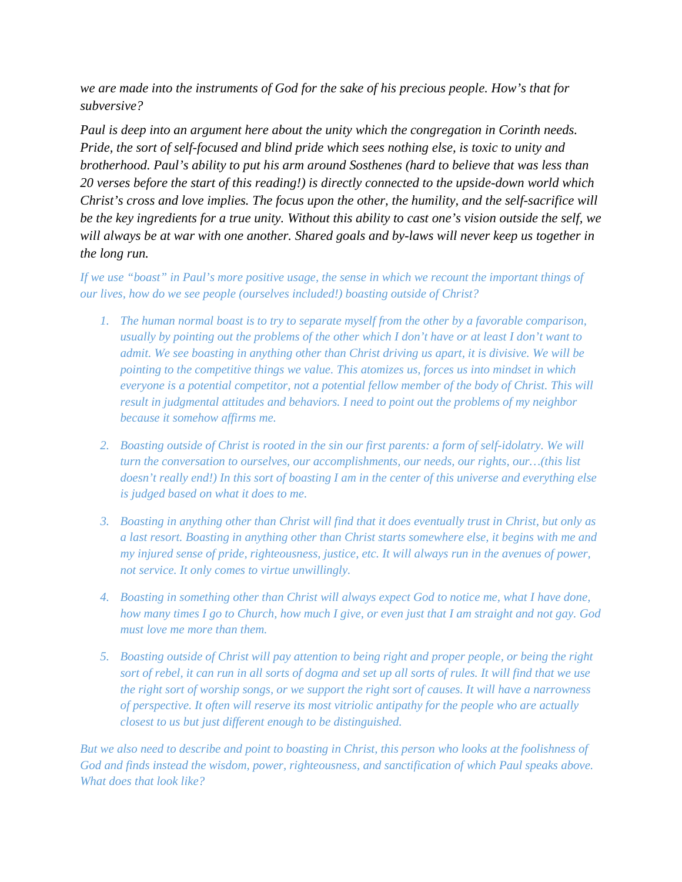*we are made into the instruments of God for the sake of his precious people. How's that for subversive?* 

*Paul is deep into an argument here about the unity which the congregation in Corinth needs. Pride, the sort of self-focused and blind pride which sees nothing else, is toxic to unity and brotherhood. Paul's ability to put his arm around Sosthenes (hard to believe that was less than 20 verses before the start of this reading!) is directly connected to the upside-down world which Christ's cross and love implies. The focus upon the other, the humility, and the self-sacrifice will be the key ingredients for a true unity. Without this ability to cast one's vision outside the self, we will always be at war with one another. Shared goals and by-laws will never keep us together in the long run.* 

*If we use "boast"* in Paul's more positive usage, the sense in which we recount the *important things of our lives, how do we see people (ourselves included!) boasting outside of Christ?* 

- *1. The human normal boast is to try to separate myself from the other by a favorable comparison, usually by pointing out the problems of the other which I don't have or at least I don't want to admit. We see boasting in anything other than Christ driving us apart, it is divisive. We will be pointing to the competitive things we value. This atomizes us, forces us into mindset in which everyone is a potential competitor, not a potential fellow member of the body of Christ. This will result in judgmental attitudes and behaviors. I need to point out the problems of my neighbor because it somehow affirms me.*
- *2. Boasting outside of Christ is rooted in the sin our first parents: a form of self-idolatry. We will turn the conversation to ourselves, our accomplishments, our needs, our rights, our…(this list doesn't really end!) In this sort of boasting I am in the center of this universe and everything else is judged based on what it does to me.*
- *3. Boasting in anything other than Christ will find that it does eventually trust in Christ, but only as a last resort. Boasting in anything other than Christ starts somewhere else, it begins with me and my injured sense of pride, righteousness, justice, etc. It will always run in the avenues of power, not service. It only comes to virtue unwillingly.*
- *4. Boasting in something other than Christ will always expect God to notice me, what I have done, how many times I go to Church, how much I give, or even just that I am straight and not gay. God must love me more than them.*
- *5. Boasting outside of Christ will pay attention to being right and proper people, or being the right sort of rebel, it can run in all sorts of dogma and set up all sorts of rules. It will find that we use the right sort of worship songs, or we support the right sort of causes. It will have a narrowness of perspective. It often will reserve its most vitriolic antipathy for the people who are actually closest to us but just different enough to be distinguished.*

*But we also need to describe and point to boasting in Christ, this person who looks at the foolishness of God and finds instead the wisdom, power, righteousness, and sanctification of which Paul speaks above. What does that look like?*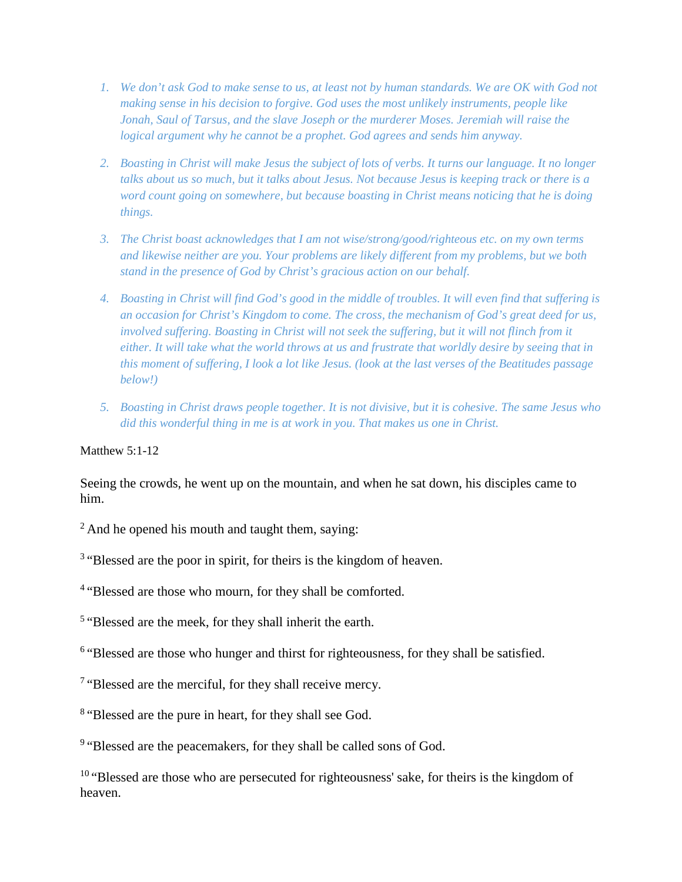- *1. We don't ask God to make sense to us, at least not by human standards. We are OK with God not making sense in his decision to forgive. God uses the most unlikely instruments, people like Jonah, Saul of Tarsus, and the slave Joseph or the murderer Moses. Jeremiah will raise the logical argument why he cannot be a prophet. God agrees and sends him anyway.*
- *2. Boasting in Christ will make Jesus the subject of lots of verbs. It turns our language. It no longer talks about us so much, but it talks about Jesus. Not because Jesus is keeping track or there is a word count going on somewhere, but because boasting in Christ means noticing that he is doing things.*
- *3. The Christ boast acknowledges that I am not wise/strong/good/righteous etc. on my own terms and likewise neither are you. Your problems are likely different from my problems, but we both stand in the presence of God by Christ's gracious action on our behalf.*
- *4. Boasting in Christ will find God's good in the middle of troubles. It will even find that suffering is an occasion for Christ's Kingdom to come. The cross, the mechanism of God's great deed for us, involved suffering. Boasting in Christ will not seek the suffering, but it will not flinch from it either. It will take what the world throws at us and frustrate that worldly desire by seeing that in this moment of suffering, I look a lot like Jesus. (look at the last verses of the Beatitudes passage below!)*
- *5. Boasting in Christ draws people together. It is not divisive, but it is cohesive. The same Jesus who did this wonderful thing in me is at work in you. That makes us one in Christ.*

## Matthew  $5:1-12$

Seeing the crowds, he went up on the mountain, and when he sat down, his disciples came to him.

 $2$  And he opened his mouth and taught them, saying:

<sup>3</sup> "Blessed are the poor in spirit, for theirs is the kingdom of heaven.

<sup>4</sup> "Blessed are those who mourn, for they shall be comforted.

<sup>5</sup> "Blessed are the meek, for they shall inherit the earth.

<sup>6</sup> "Blessed are those who hunger and thirst for righteousness, for they shall be satisfied.

<sup>7</sup> "Blessed are the merciful, for they shall receive mercy.

<sup>8</sup> "Blessed are the pure in heart, for they shall see God.

<sup>9</sup> "Blessed are the peacemakers, for they shall be called sons of God.

<sup>10</sup> "Blessed are those who are persecuted for righteousness' sake, for theirs is the kingdom of heaven.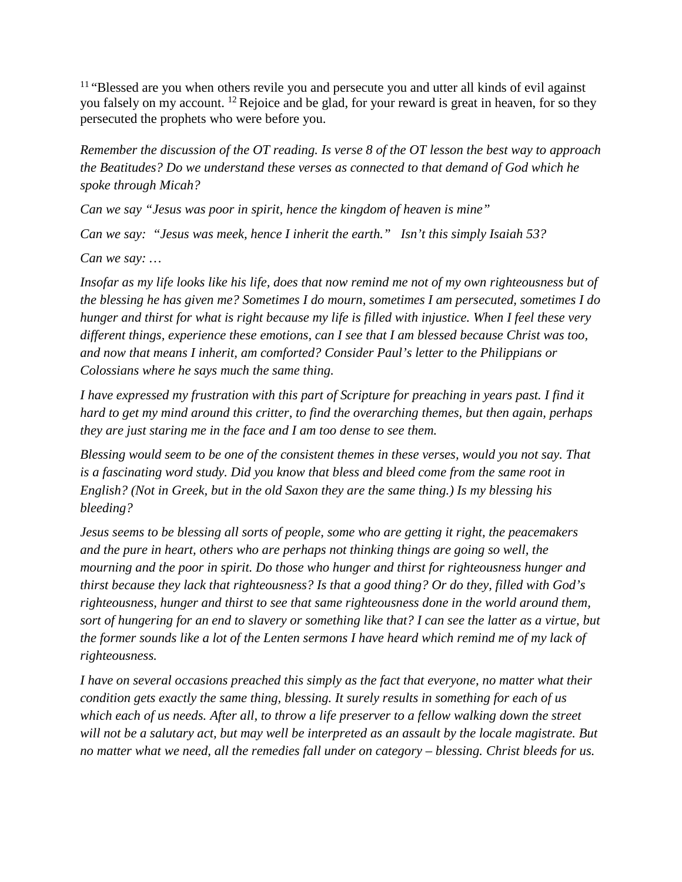$11$  "Blessed are you when others revile you and persecute you and utter all kinds of evil against you falsely on my account. <sup>12</sup> Rejoice and be glad, for your reward is great in heaven, for so they persecuted the prophets who were before you.

*Remember the discussion of the OT reading. Is verse 8 of the OT lesson the best way to approach the Beatitudes? Do we understand these verses as connected to that demand of God which he spoke through Micah?* 

*Can we say "Jesus was poor in spirit, hence the kingdom of heaven is mine"*

*Can we say: "Jesus was meek, hence I inherit the earth." Isn't this simply Isaiah 53?* 

*Can we say: …*

*Insofar as my life looks like his life, does that now remind me not of my own righteousness but of the blessing he has given me? Sometimes I do mourn, sometimes I am persecuted, sometimes I do hunger and thirst for what is right because my life is filled with injustice. When I feel these very different things, experience these emotions, can I see that I am blessed because Christ was too, and now that means I inherit, am comforted? Consider Paul's letter to the Philippians or Colossians where he says much the same thing.* 

*I have expressed my frustration with this part of Scripture for preaching in years past. I find it hard to get my mind around this critter, to find the overarching themes, but then again, perhaps they are just staring me in the face and I am too dense to see them.* 

*Blessing would seem to be one of the consistent themes in these verses, would you not say. That is a fascinating word study. Did you know that bless and bleed come from the same root in English? (Not in Greek, but in the old Saxon they are the same thing.) Is my blessing his bleeding?*

*Jesus seems to be blessing all sorts of people, some who are getting it right, the peacemakers and the pure in heart, others who are perhaps not thinking things are going so well, the mourning and the poor in spirit. Do those who hunger and thirst for righteousness hunger and thirst because they lack that righteousness? Is that a good thing? Or do they, filled with God's righteousness, hunger and thirst to see that same righteousness done in the world around them, sort of hungering for an end to slavery or something like that? I can see the latter as a virtue, but the former sounds like a lot of the Lenten sermons I have heard which remind me of my lack of righteousness.* 

*I have on several occasions preached this simply as the fact that everyone, no matter what their condition gets exactly the same thing, blessing. It surely results in something for each of us*  which each of us needs. After all, to throw a life preserver to a fellow walking down the street *will not be a salutary act, but may well be interpreted as an assault by the locale magistrate. But no matter what we need, all the remedies fall under on category – blessing. Christ bleeds for us.*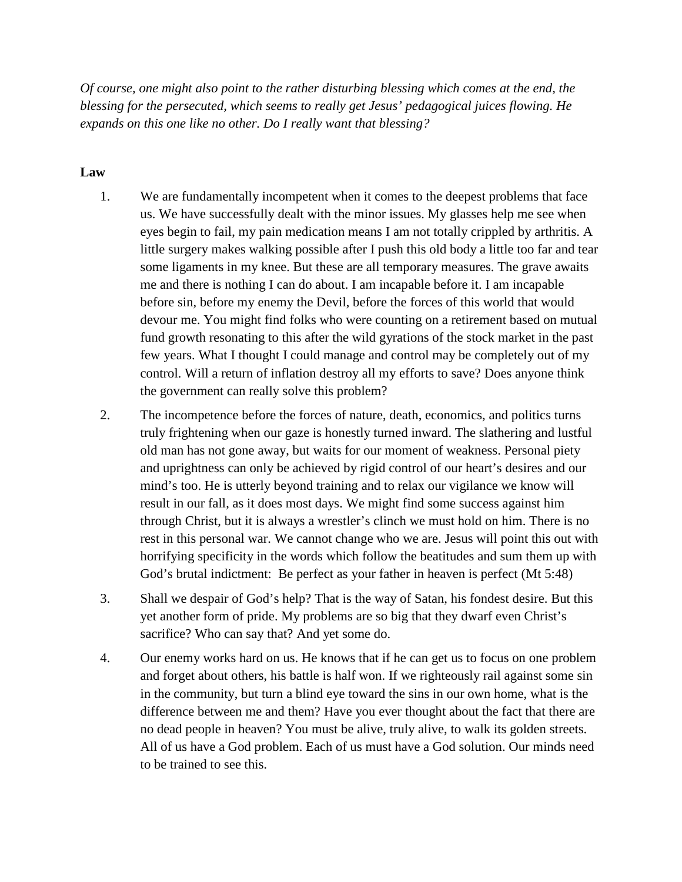*Of course, one might also point to the rather disturbing blessing which comes at the end, the blessing for the persecuted, which seems to really get Jesus' pedagogical juices flowing. He expands on this one like no other. Do I really want that blessing?*

# **Law**

- 1. We are fundamentally incompetent when it comes to the deepest problems that face us. We have successfully dealt with the minor issues. My glasses help me see when eyes begin to fail, my pain medication means I am not totally crippled by arthritis. A little surgery makes walking possible after I push this old body a little too far and tear some ligaments in my knee. But these are all temporary measures. The grave awaits me and there is nothing I can do about. I am incapable before it. I am incapable before sin, before my enemy the Devil, before the forces of this world that would devour me. You might find folks who were counting on a retirement based on mutual fund growth resonating to this after the wild gyrations of the stock market in the past few years. What I thought I could manage and control may be completely out of my control. Will a return of inflation destroy all my efforts to save? Does anyone think the government can really solve this problem?
- 2. The incompetence before the forces of nature, death, economics, and politics turns truly frightening when our gaze is honestly turned inward. The slathering and lustful old man has not gone away, but waits for our moment of weakness. Personal piety and uprightness can only be achieved by rigid control of our heart's desires and our mind's too. He is utterly beyond training and to relax our vigilance we know will result in our fall, as it does most days. We might find some success against him through Christ, but it is always a wrestler's clinch we must hold on him. There is no rest in this personal war. We cannot change who we are. Jesus will point this out with horrifying specificity in the words which follow the beatitudes and sum them up with God's brutal indictment: Be perfect as your father in heaven is perfect (Mt 5:48)
- 3. Shall we despair of God's help? That is the way of Satan, his fondest desire. But this yet another form of pride. My problems are so big that they dwarf even Christ's sacrifice? Who can say that? And yet some do.
- 4. Our enemy works hard on us. He knows that if he can get us to focus on one problem and forget about others, his battle is half won. If we righteously rail against some sin in the community, but turn a blind eye toward the sins in our own home, what is the difference between me and them? Have you ever thought about the fact that there are no dead people in heaven? You must be alive, truly alive, to walk its golden streets. All of us have a God problem. Each of us must have a God solution. Our minds need to be trained to see this.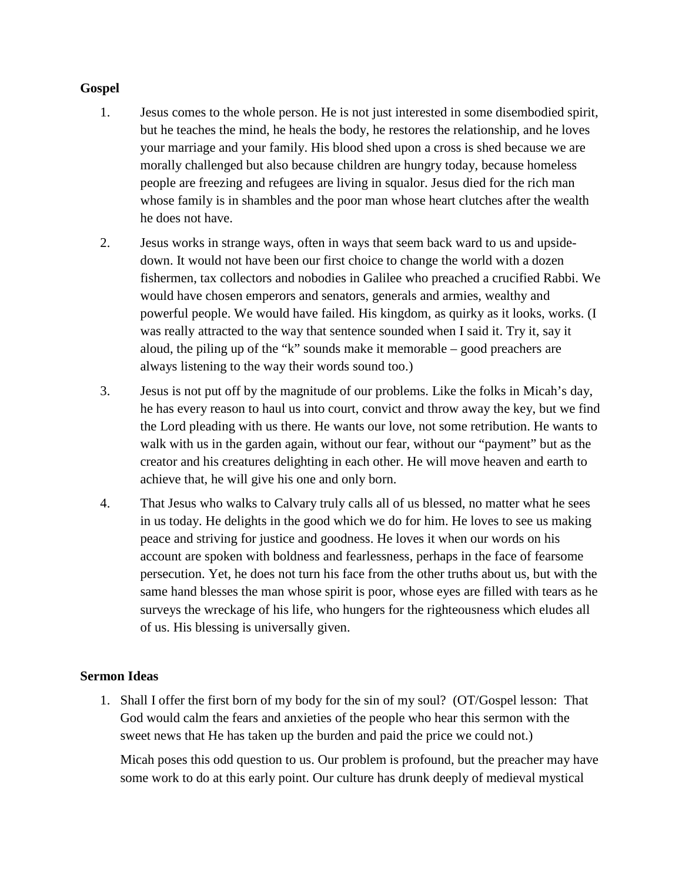# **Gospel**

- 1. Jesus comes to the whole person. He is not just interested in some disembodied spirit, but he teaches the mind, he heals the body, he restores the relationship, and he loves your marriage and your family. His blood shed upon a cross is shed because we are morally challenged but also because children are hungry today, because homeless people are freezing and refugees are living in squalor. Jesus died for the rich man whose family is in shambles and the poor man whose heart clutches after the wealth he does not have.
- 2. Jesus works in strange ways, often in ways that seem back ward to us and upsidedown. It would not have been our first choice to change the world with a dozen fishermen, tax collectors and nobodies in Galilee who preached a crucified Rabbi. We would have chosen emperors and senators, generals and armies, wealthy and powerful people. We would have failed. His kingdom, as quirky as it looks, works. (I was really attracted to the way that sentence sounded when I said it. Try it, say it aloud, the piling up of the "k" sounds make it memorable – good preachers are always listening to the way their words sound too.)
- 3. Jesus is not put off by the magnitude of our problems. Like the folks in Micah's day, he has every reason to haul us into court, convict and throw away the key, but we find the Lord pleading with us there. He wants our love, not some retribution. He wants to walk with us in the garden again, without our fear, without our "payment" but as the creator and his creatures delighting in each other. He will move heaven and earth to achieve that, he will give his one and only born.
- 4. That Jesus who walks to Calvary truly calls all of us blessed, no matter what he sees in us today. He delights in the good which we do for him. He loves to see us making peace and striving for justice and goodness. He loves it when our words on his account are spoken with boldness and fearlessness, perhaps in the face of fearsome persecution. Yet, he does not turn his face from the other truths about us, but with the same hand blesses the man whose spirit is poor, whose eyes are filled with tears as he surveys the wreckage of his life, who hungers for the righteousness which eludes all of us. His blessing is universally given.

# **Sermon Ideas**

1. Shall I offer the first born of my body for the sin of my soul? (OT/Gospel lesson: That God would calm the fears and anxieties of the people who hear this sermon with the sweet news that He has taken up the burden and paid the price we could not.)

Micah poses this odd question to us. Our problem is profound, but the preacher may have some work to do at this early point. Our culture has drunk deeply of medieval mystical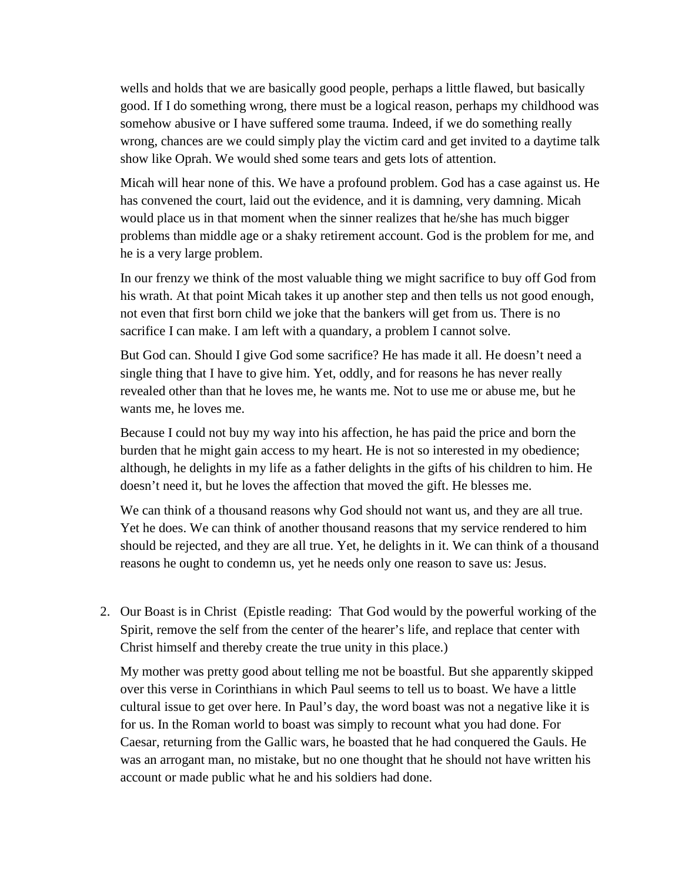wells and holds that we are basically good people, perhaps a little flawed, but basically good. If I do something wrong, there must be a logical reason, perhaps my childhood was somehow abusive or I have suffered some trauma. Indeed, if we do something really wrong, chances are we could simply play the victim card and get invited to a daytime talk show like Oprah. We would shed some tears and gets lots of attention.

Micah will hear none of this. We have a profound problem. God has a case against us. He has convened the court, laid out the evidence, and it is damning, very damning. Micah would place us in that moment when the sinner realizes that he/she has much bigger problems than middle age or a shaky retirement account. God is the problem for me, and he is a very large problem.

In our frenzy we think of the most valuable thing we might sacrifice to buy off God from his wrath. At that point Micah takes it up another step and then tells us not good enough, not even that first born child we joke that the bankers will get from us. There is no sacrifice I can make. I am left with a quandary, a problem I cannot solve.

But God can. Should I give God some sacrifice? He has made it all. He doesn't need a single thing that I have to give him. Yet, oddly, and for reasons he has never really revealed other than that he loves me, he wants me. Not to use me or abuse me, but he wants me, he loves me.

Because I could not buy my way into his affection, he has paid the price and born the burden that he might gain access to my heart. He is not so interested in my obedience; although, he delights in my life as a father delights in the gifts of his children to him. He doesn't need it, but he loves the affection that moved the gift. He blesses me.

We can think of a thousand reasons why God should not want us, and they are all true. Yet he does. We can think of another thousand reasons that my service rendered to him should be rejected, and they are all true. Yet, he delights in it. We can think of a thousand reasons he ought to condemn us, yet he needs only one reason to save us: Jesus.

2. Our Boast is in Christ (Epistle reading: That God would by the powerful working of the Spirit, remove the self from the center of the hearer's life, and replace that center with Christ himself and thereby create the true unity in this place.)

My mother was pretty good about telling me not be boastful. But she apparently skipped over this verse in Corinthians in which Paul seems to tell us to boast. We have a little cultural issue to get over here. In Paul's day, the word boast was not a negative like it is for us. In the Roman world to boast was simply to recount what you had done. For Caesar, returning from the Gallic wars, he boasted that he had conquered the Gauls. He was an arrogant man, no mistake, but no one thought that he should not have written his account or made public what he and his soldiers had done.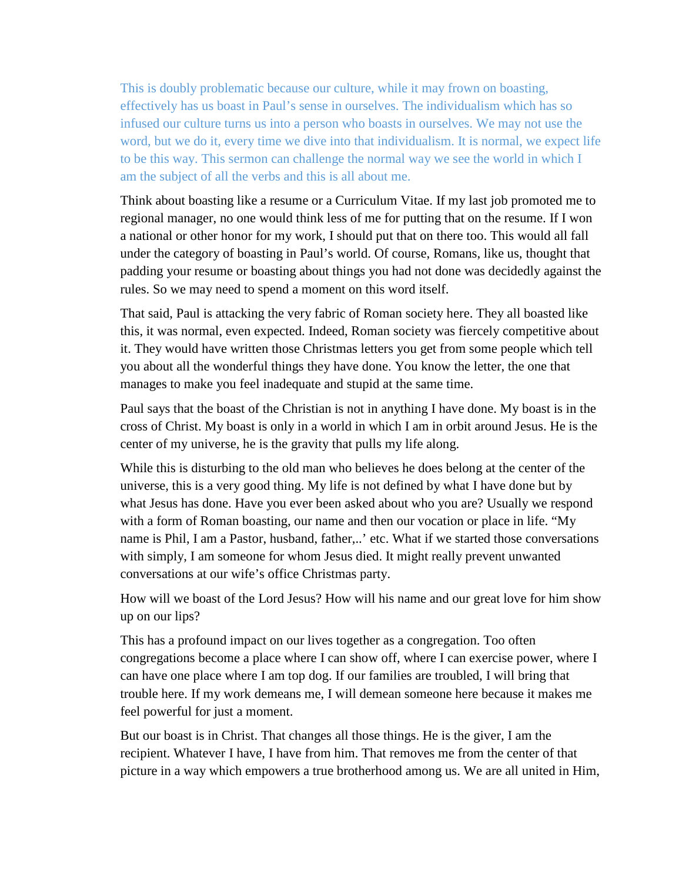This is doubly problematic because our culture, while it may frown on boasting, effectively has us boast in Paul's sense in ourselves. The individualism which has so infused our culture turns us into a person who boasts in ourselves. We may not use the word, but we do it, every time we dive into that individualism. It is normal, we expect life to be this way. This sermon can challenge the normal way we see the world in which I am the subject of all the verbs and this is all about me.

Think about boasting like a resume or a Curriculum Vitae. If my last job promoted me to regional manager, no one would think less of me for putting that on the resume. If I won a national or other honor for my work, I should put that on there too. This would all fall under the category of boasting in Paul's world. Of course, Romans, like us, thought that padding your resume or boasting about things you had not done was decidedly against the rules. So we may need to spend a moment on this word itself.

That said, Paul is attacking the very fabric of Roman society here. They all boasted like this, it was normal, even expected. Indeed, Roman society was fiercely competitive about it. They would have written those Christmas letters you get from some people which tell you about all the wonderful things they have done. You know the letter, the one that manages to make you feel inadequate and stupid at the same time.

Paul says that the boast of the Christian is not in anything I have done. My boast is in the cross of Christ. My boast is only in a world in which I am in orbit around Jesus. He is the center of my universe, he is the gravity that pulls my life along.

While this is disturbing to the old man who believes he does belong at the center of the universe, this is a very good thing. My life is not defined by what I have done but by what Jesus has done. Have you ever been asked about who you are? Usually we respond with a form of Roman boasting, our name and then our vocation or place in life. "My name is Phil, I am a Pastor, husband, father,..' etc. What if we started those conversations with simply, I am someone for whom Jesus died. It might really prevent unwanted conversations at our wife's office Christmas party.

How will we boast of the Lord Jesus? How will his name and our great love for him show up on our lips?

This has a profound impact on our lives together as a congregation. Too often congregations become a place where I can show off, where I can exercise power, where I can have one place where I am top dog. If our families are troubled, I will bring that trouble here. If my work demeans me, I will demean someone here because it makes me feel powerful for just a moment.

But our boast is in Christ. That changes all those things. He is the giver, I am the recipient. Whatever I have, I have from him. That removes me from the center of that picture in a way which empowers a true brotherhood among us. We are all united in Him,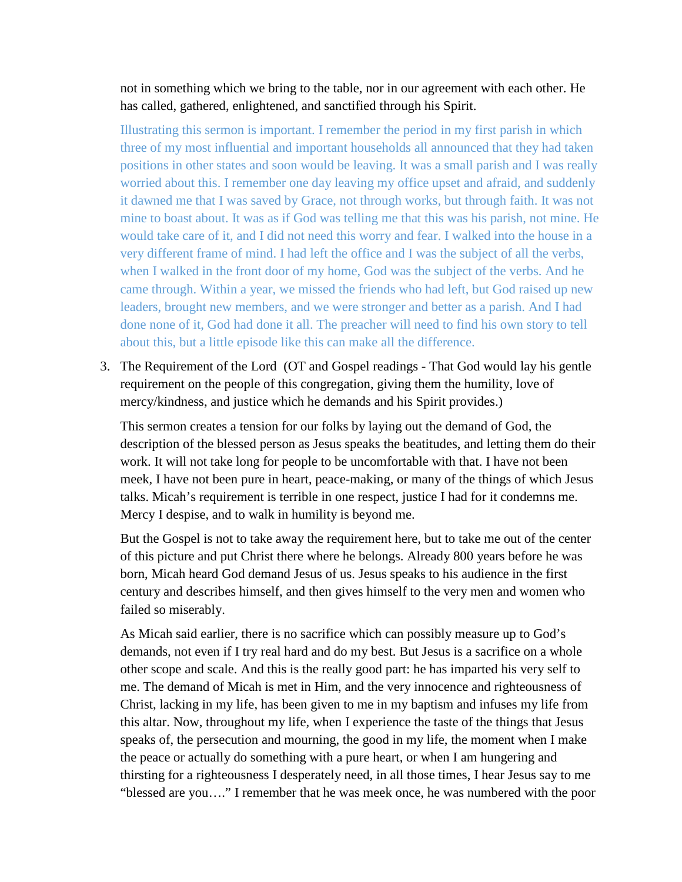not in something which we bring to the table, nor in our agreement with each other. He has called, gathered, enlightened, and sanctified through his Spirit.

Illustrating this sermon is important. I remember the period in my first parish in which three of my most influential and important households all announced that they had taken positions in other states and soon would be leaving. It was a small parish and I was really worried about this. I remember one day leaving my office upset and afraid, and suddenly it dawned me that I was saved by Grace, not through works, but through faith. It was not mine to boast about. It was as if God was telling me that this was his parish, not mine. He would take care of it, and I did not need this worry and fear. I walked into the house in a very different frame of mind. I had left the office and I was the subject of all the verbs, when I walked in the front door of my home, God was the subject of the verbs. And he came through. Within a year, we missed the friends who had left, but God raised up new leaders, brought new members, and we were stronger and better as a parish. And I had done none of it, God had done it all. The preacher will need to find his own story to tell about this, but a little episode like this can make all the difference.

3. The Requirement of the Lord (OT and Gospel readings - That God would lay his gentle requirement on the people of this congregation, giving them the humility, love of mercy/kindness, and justice which he demands and his Spirit provides.)

This sermon creates a tension for our folks by laying out the demand of God, the description of the blessed person as Jesus speaks the beatitudes, and letting them do their work. It will not take long for people to be uncomfortable with that. I have not been meek, I have not been pure in heart, peace-making, or many of the things of which Jesus talks. Micah's requirement is terrible in one respect, justice I had for it condemns me. Mercy I despise, and to walk in humility is beyond me.

But the Gospel is not to take away the requirement here, but to take me out of the center of this picture and put Christ there where he belongs. Already 800 years before he was born, Micah heard God demand Jesus of us. Jesus speaks to his audience in the first century and describes himself, and then gives himself to the very men and women who failed so miserably.

As Micah said earlier, there is no sacrifice which can possibly measure up to God's demands, not even if I try real hard and do my best. But Jesus is a sacrifice on a whole other scope and scale. And this is the really good part: he has imparted his very self to me. The demand of Micah is met in Him, and the very innocence and righteousness of Christ, lacking in my life, has been given to me in my baptism and infuses my life from this altar. Now, throughout my life, when I experience the taste of the things that Jesus speaks of, the persecution and mourning, the good in my life, the moment when I make the peace or actually do something with a pure heart, or when I am hungering and thirsting for a righteousness I desperately need, in all those times, I hear Jesus say to me "blessed are you…." I remember that he was meek once, he was numbered with the poor